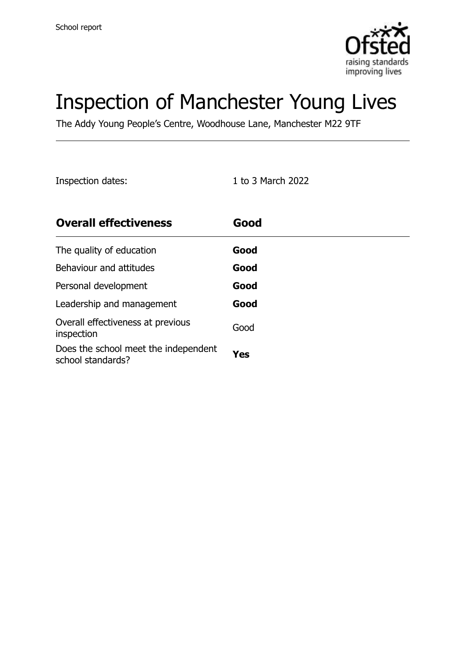

# Inspection of Manchester Young Lives

The Addy Young People's Centre, Woodhouse Lane, Manchester M22 9TF

Inspection dates: 1 to 3 March 2022

| <b>Overall effectiveness</b>                              | Good |
|-----------------------------------------------------------|------|
| The quality of education                                  | Good |
| Behaviour and attitudes                                   | Good |
| Personal development                                      | Good |
| Leadership and management                                 | Good |
| Overall effectiveness at previous<br>inspection           | Good |
| Does the school meet the independent<br>school standards? | Yes  |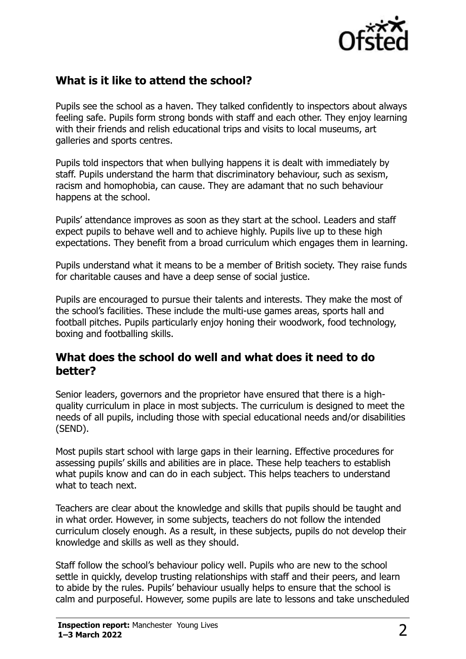

#### **What is it like to attend the school?**

Pupils see the school as a haven. They talked confidently to inspectors about always feeling safe. Pupils form strong bonds with staff and each other. They enjoy learning with their friends and relish educational trips and visits to local museums, art galleries and sports centres.

Pupils told inspectors that when bullying happens it is dealt with immediately by staff. Pupils understand the harm that discriminatory behaviour, such as sexism, racism and homophobia, can cause. They are adamant that no such behaviour happens at the school.

Pupils' attendance improves as soon as they start at the school. Leaders and staff expect pupils to behave well and to achieve highly. Pupils live up to these high expectations. They benefit from a broad curriculum which engages them in learning.

Pupils understand what it means to be a member of British society. They raise funds for charitable causes and have a deep sense of social justice.

Pupils are encouraged to pursue their talents and interests. They make the most of the school's facilities. These include the multi-use games areas, sports hall and football pitches. Pupils particularly enjoy honing their woodwork, food technology, boxing and footballing skills.

#### **What does the school do well and what does it need to do better?**

Senior leaders, governors and the proprietor have ensured that there is a highquality curriculum in place in most subjects. The curriculum is designed to meet the needs of all pupils, including those with special educational needs and/or disabilities (SEND).

Most pupils start school with large gaps in their learning. Effective procedures for assessing pupils' skills and abilities are in place. These help teachers to establish what pupils know and can do in each subject. This helps teachers to understand what to teach next.

Teachers are clear about the knowledge and skills that pupils should be taught and in what order. However, in some subjects, teachers do not follow the intended curriculum closely enough. As a result, in these subjects, pupils do not develop their knowledge and skills as well as they should.

Staff follow the school's behaviour policy well. Pupils who are new to the school settle in quickly, develop trusting relationships with staff and their peers, and learn to abide by the rules. Pupils' behaviour usually helps to ensure that the school is calm and purposeful. However, some pupils are late to lessons and take unscheduled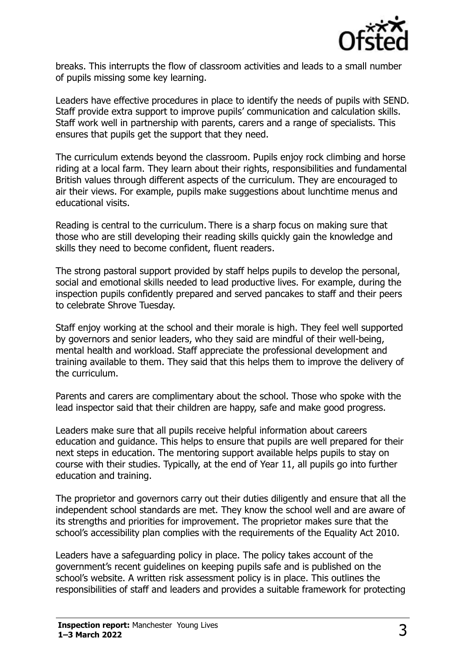

breaks. This interrupts the flow of classroom activities and leads to a small number of pupils missing some key learning.

Leaders have effective procedures in place to identify the needs of pupils with SEND. Staff provide extra support to improve pupils' communication and calculation skills. Staff work well in partnership with parents, carers and a range of specialists. This ensures that pupils get the support that they need.

The curriculum extends beyond the classroom. Pupils enjoy rock climbing and horse riding at a local farm. They learn about their rights, responsibilities and fundamental British values through different aspects of the curriculum. They are encouraged to air their views. For example, pupils make suggestions about lunchtime menus and educational visits.

Reading is central to the curriculum. There is a sharp focus on making sure that those who are still developing their reading skills quickly gain the knowledge and skills they need to become confident, fluent readers.

The strong pastoral support provided by staff helps pupils to develop the personal, social and emotional skills needed to lead productive lives. For example, during the inspection pupils confidently prepared and served pancakes to staff and their peers to celebrate Shrove Tuesday.

Staff enjoy working at the school and their morale is high. They feel well supported by governors and senior leaders, who they said are mindful of their well-being, mental health and workload. Staff appreciate the professional development and training available to them. They said that this helps them to improve the delivery of the curriculum.

Parents and carers are complimentary about the school. Those who spoke with the lead inspector said that their children are happy, safe and make good progress.

Leaders make sure that all pupils receive helpful information about careers education and guidance. This helps to ensure that pupils are well prepared for their next steps in education. The mentoring support available helps pupils to stay on course with their studies. Typically, at the end of Year 11, all pupils go into further education and training.

The proprietor and governors carry out their duties diligently and ensure that all the independent school standards are met. They know the school well and are aware of its strengths and priorities for improvement. The proprietor makes sure that the school's accessibility plan complies with the requirements of the Equality Act 2010.

Leaders have a safeguarding policy in place. The policy takes account of the government's recent guidelines on keeping pupils safe and is published on the school's website. A written risk assessment policy is in place. This outlines the responsibilities of staff and leaders and provides a suitable framework for protecting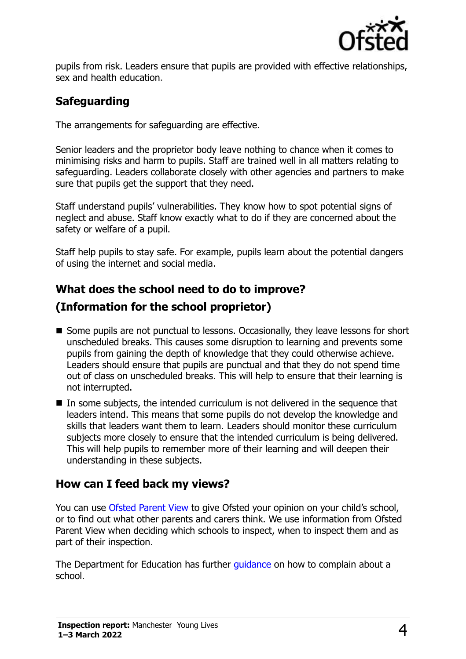

pupils from risk. Leaders ensure that pupils are provided with effective relationships, sex and health education.

## **Safeguarding**

The arrangements for safeguarding are effective.

Senior leaders and the proprietor body leave nothing to chance when it comes to minimising risks and harm to pupils. Staff are trained well in all matters relating to safeguarding. Leaders collaborate closely with other agencies and partners to make sure that pupils get the support that they need.

Staff understand pupils' vulnerabilities. They know how to spot potential signs of neglect and abuse. Staff know exactly what to do if they are concerned about the safety or welfare of a pupil.

Staff help pupils to stay safe. For example, pupils learn about the potential dangers of using the internet and social media.

### **What does the school need to do to improve?**

#### **(Information for the school proprietor)**

- Some pupils are not punctual to lessons. Occasionally, they leave lessons for short unscheduled breaks. This causes some disruption to learning and prevents some pupils from gaining the depth of knowledge that they could otherwise achieve. Leaders should ensure that pupils are punctual and that they do not spend time out of class on unscheduled breaks. This will help to ensure that their learning is not interrupted.
- In some subjects, the intended curriculum is not delivered in the sequence that leaders intend. This means that some pupils do not develop the knowledge and skills that leaders want them to learn. Leaders should monitor these curriculum subjects more closely to ensure that the intended curriculum is being delivered. This will help pupils to remember more of their learning and will deepen their understanding in these subjects.

#### **How can I feed back my views?**

You can use [Ofsted Parent View](http://parentview.ofsted.gov.uk/) to give Ofsted your opinion on your child's school, or to find out what other parents and carers think. We use information from Ofsted Parent View when deciding which schools to inspect, when to inspect them and as part of their inspection.

The Department for Education has further quidance on how to complain about a school.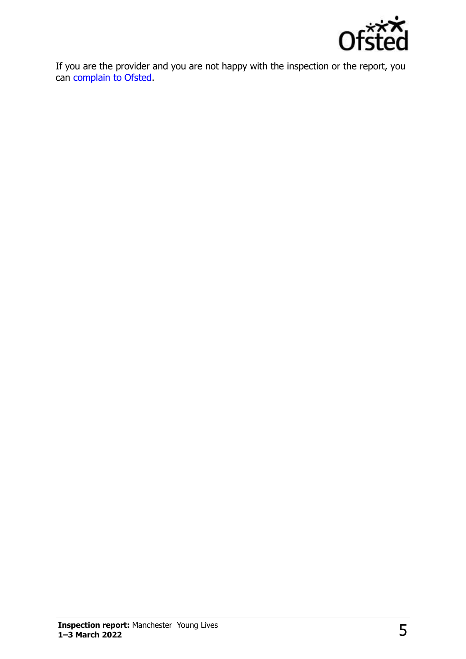

If you are the provider and you are not happy with the inspection or the report, you can [complain to Ofsted.](http://www.gov.uk/complain-ofsted-report)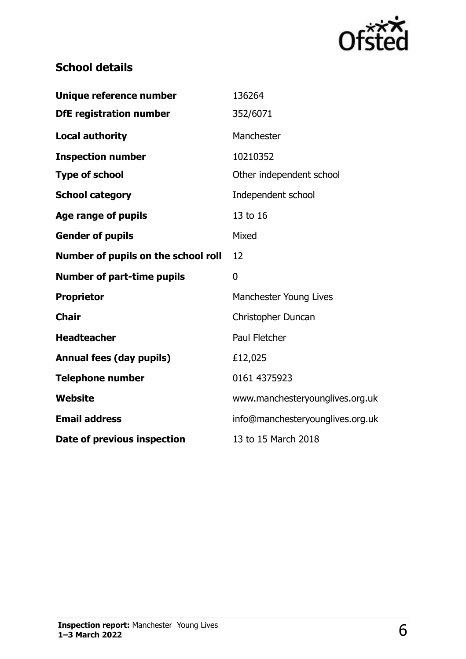

# **School details**

| Unique reference number             | 136264                           |
|-------------------------------------|----------------------------------|
| <b>DfE</b> registration number      | 352/6071                         |
| <b>Local authority</b>              | Manchester                       |
| <b>Inspection number</b>            | 10210352                         |
| <b>Type of school</b>               | Other independent school         |
| <b>School category</b>              | Independent school               |
| <b>Age range of pupils</b>          | 13 to 16                         |
| <b>Gender of pupils</b>             | Mixed                            |
| Number of pupils on the school roll | 12                               |
|                                     |                                  |
| <b>Number of part-time pupils</b>   | 0                                |
| <b>Proprietor</b>                   | Manchester Young Lives           |
| <b>Chair</b>                        | Christopher Duncan               |
| <b>Headteacher</b>                  | <b>Paul Fletcher</b>             |
| <b>Annual fees (day pupils)</b>     | £12,025                          |
| <b>Telephone number</b>             | 0161 4375923                     |
| <b>Website</b>                      | www.manchesteryounglives.org.uk  |
| <b>Email address</b>                | info@manchesteryounglives.org.uk |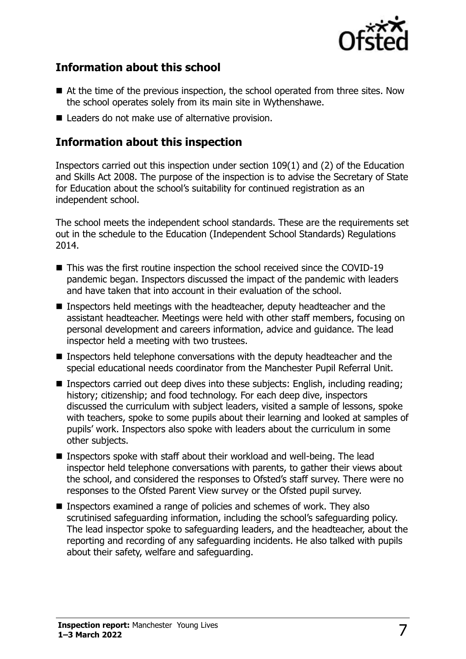

#### **Information about this school**

- At the time of the previous inspection, the school operated from three sites. Now the school operates solely from its main site in Wythenshawe.
- Leaders do not make use of alternative provision.

#### **Information about this inspection**

Inspectors carried out this inspection under section 109(1) and (2) of the Education and Skills Act 2008. The purpose of the inspection is to advise the Secretary of State for Education about the school's suitability for continued registration as an independent school.

The school meets the independent school standards. These are the requirements set out in the schedule to the Education (Independent School Standards) Regulations 2014.

- This was the first routine inspection the school received since the COVID-19 pandemic began. Inspectors discussed the impact of the pandemic with leaders and have taken that into account in their evaluation of the school.
- Inspectors held meetings with the headteacher, deputy headteacher and the assistant headteacher. Meetings were held with other staff members, focusing on personal development and careers information, advice and guidance. The lead inspector held a meeting with two trustees.
- Inspectors held telephone conversations with the deputy headteacher and the special educational needs coordinator from the Manchester Pupil Referral Unit.
- Inspectors carried out deep dives into these subjects: English, including reading; history; citizenship; and food technology. For each deep dive, inspectors discussed the curriculum with subject leaders, visited a sample of lessons, spoke with teachers, spoke to some pupils about their learning and looked at samples of pupils' work. Inspectors also spoke with leaders about the curriculum in some other subjects.
- Inspectors spoke with staff about their workload and well-being. The lead inspector held telephone conversations with parents, to gather their views about the school, and considered the responses to Ofsted's staff survey. There were no responses to the Ofsted Parent View survey or the Ofsted pupil survey.
- Inspectors examined a range of policies and schemes of work. They also scrutinised safeguarding information, including the school's safeguarding policy. The lead inspector spoke to safeguarding leaders, and the headteacher, about the reporting and recording of any safeguarding incidents. He also talked with pupils about their safety, welfare and safeguarding.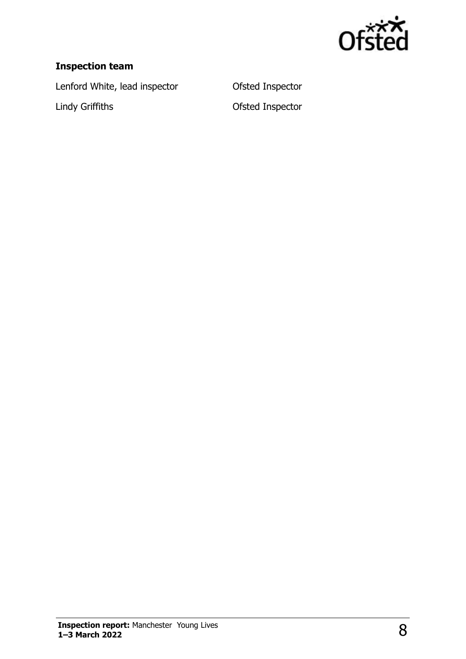

#### **Inspection team**

Lenford White, lead inspector **Conservant Conservant Conservant Conservant Conservant Conservant Conservant Conservant Conservant Conservant Conservant Conservant Conservant Conservant Conservant Conservant Conservant Cons** Lindy Griffiths **Contact Contact Contact Contact Contact Contact Contact Contact Contact Contact Contact Contact Contact Contact Contact Contact Contact Contact Contact Contact Contact Contact Contact Contact Contact Conta**